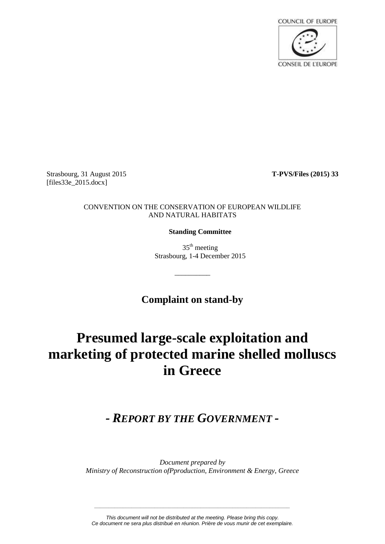**COUNCIL OF EUROPE CONSEIL DE L'EUROPE** 

Strasbourg, 31 August 2015 **T-PVS/Files (2015) 33** [files33e\_2015.docx]

## CONVENTION ON THE CONSERVATION OF EUROPEAN WILDLIFE AND NATURAL HABITATS

**Standing Committee**

 $35<sup>th</sup>$  meeting Strasbourg, 1-4 December 2015

**Complaint on stand-by**

\_\_\_\_\_\_\_\_\_\_

# **Presumed large-scale exploitation and marketing of protected marine shelled molluscs in Greece**

# *- REPORT BY THE GOVERNMENT -*

*Document prepared by Ministry of Reconstruction ofPproduction, Environment & Energy, Greece*

*This document will not be distributed at the meeting. Please bring this copy. Ce document ne sera plus distribué en réunion. Prière de vous munir de cet exemplaire.*

*\_\_\_\_\_\_\_\_\_\_\_\_\_\_\_\_\_\_\_\_\_\_\_\_\_\_\_\_\_\_\_\_\_\_\_\_\_\_\_\_\_\_\_\_\_\_\_\_\_\_\_\_\_\_\_\_\_\_\_\_\_\_\_\_\_\_\_\_*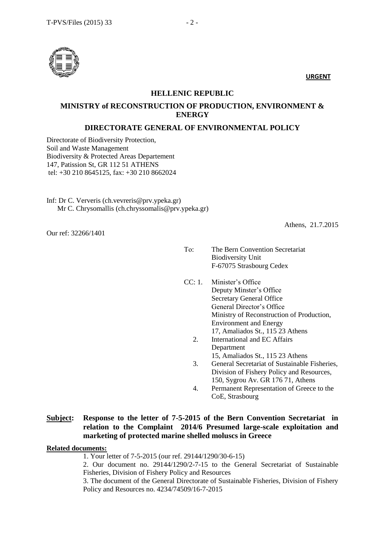

**URGENT**

### **HELLENIC REPUBLIC**

# **MINISTRY of RECONSTRUCTION OF PRODUCTION, ENVIRONMENT & ENERGY**

## **DIRECTORATE GENERAL OF ENVIRONMENTAL POLICY**

Directorate of Biodiversity Protection, Soil and Waste Management Biodiversity & Protected Areas Departement 147, Patission St, GR 112 51 ATHENS tel: +30 210 8645125, fax: +30 210 8662024

Inf: Dr C. Ververis (ch.vevreris@prv.ypeka.gr) Mr C. Chrysomallis (ch.chryssomalis@prv.ypeka.gr)

Our ref: 32266/1401

Athens, 21.7.2015

- Το: The Bern Convention Secretariat Biodiversity Unit F-67075 Strasbourg Cedex
- CC: 1. Minister's Office Deputy Minster's Office Secretary General Office General Director's Office Ministry of Reconstruction of Production, Environment and Energy 17, Amaliados St., 115 23 Athens
	- 2. International and EC Affairs Department 15, Amaliados St., 115 23 Athens
	- 3. General Secretariat of Sustainable Fisheries, Division of Fishery Policy and Resources, 150, Sygrou Av. GR 176 71, Athens
	- 4. Permanent Representation of Greece to the CoE, Strasbourg

# **Subject: Response to the letter of 7-5-2015 of the Bern Convention Secretariat in relation to the Complaint 2014/6 Presumed large-scale exploitation and marketing of protected marine shelled moluscs in Greece**

#### **Related documents:**

1. Your letter of 7-5-2015 (our ref. 29144/1290/30-6-15)

2. Our document no. 29144/1290/2-7-15 to the General Secretariat of Sustainable Fisheries, Division of Fishery Policy and Resources

3. The document of the General Directorate of Sustainable Fisheries, Division of Fishery Policy and Resources no. 4234/74509/16-7-2015